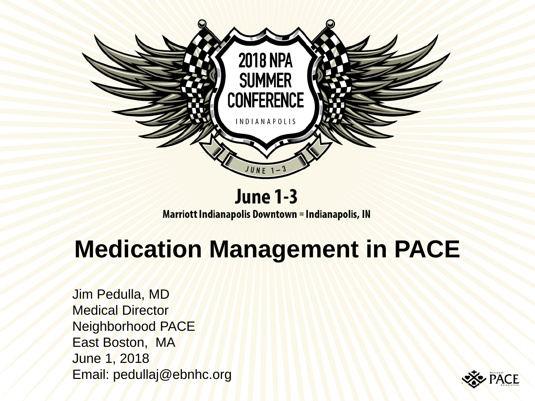

#### **June 1-3**

**Marriott Indianapolis Downtown = Indianapolis, IN** 

# **Medication Management in PACE**

Jim Pedulla, MD Medical Director Neighborhood PACE East Boston, MA June 1, 2018 Email: pedullaj@ebnhc.org

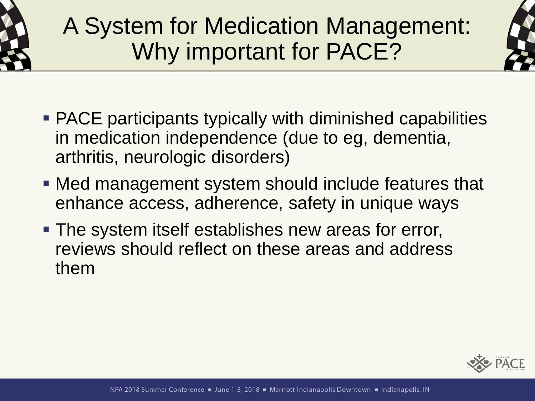

# A System for Medication Management: Why important for PACE?



- PACE participants typically with diminished capabilities in medication independence (due to eg, dementia, arthritis, neurologic disorders)
- **Med management system should include features that** enhance access, adherence, safety in unique ways
- **The system itself establishes new areas for error,** reviews should reflect on these areas and address them

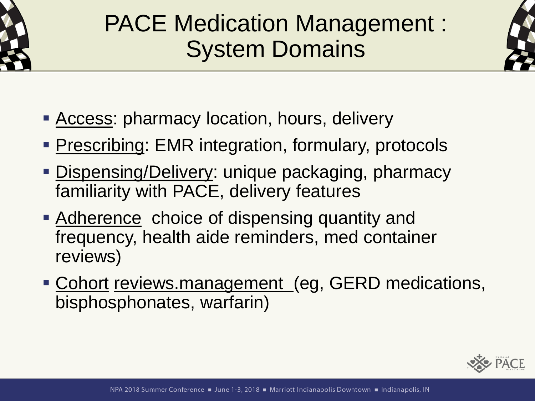

# PACE Medication Management : System Domains



- **EXECCESS: pharmacy location, hours, delivery**
- **Prescribing: EMR integration, formulary, protocols**
- **Dispensing/Delivery: unique packaging, pharmacy** familiarity with PACE, delivery features
- Adherence choice of dispensing quantity and frequency, health aide reminders, med container reviews)
- **Example 1 Cohort reviews.management (eg, GERD medications,** bisphosphonates, warfarin)

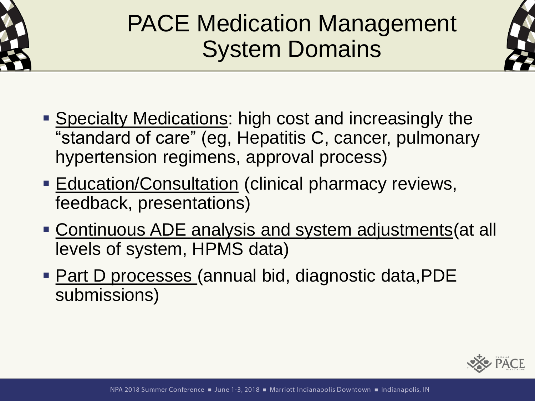

# PACE Medication Management System Domains



- **Example 2 Specialty Medications: high cost and increasingly the** "standard of care" (eg, Hepatitis C, cancer, pulmonary hypertension regimens, approval process)
- **Education/Consultation (clinical pharmacy reviews,** feedback, presentations)
- **EXECONTERGOUS ADE analysis and system adjustments (at all** levels of system, HPMS data)
- Part D processes (annual bid, diagnostic data, PDE submissions)

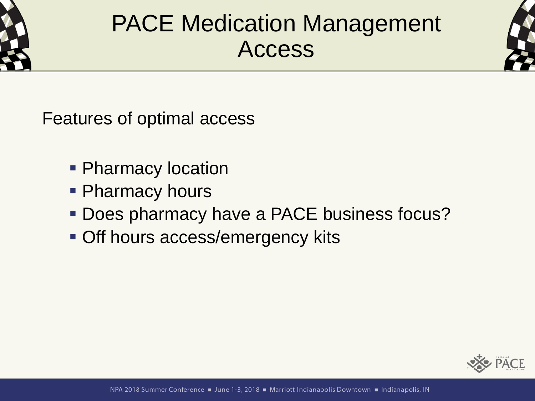

#### PACE Medication Management Access



Features of optimal access

- **Pharmacy location**
- **Pharmacy hours**
- **Does pharmacy have a PACE business focus?**
- **Off hours access/emergency kits**

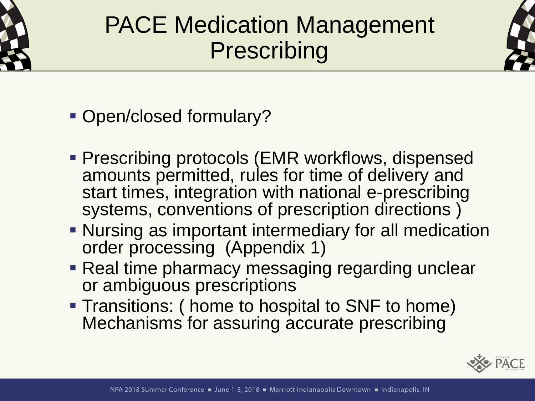

# PACE Medication Management **Prescribing**



- Open/closed formulary?
- **Prescribing protocols (EMR workflows, dispensed** amounts permitted, rules for time of delivery and start times, integration with national e-prescribing systems, conventions of prescription directions )
- Nursing as important intermediary for all medication order processing (Appendix 1)
- Real time pharmacy messaging regarding unclear or ambiguous prescriptions
- **Transitions: ( home to hospital to SNF to home)** Mechanisms for assuring accurate prescribing

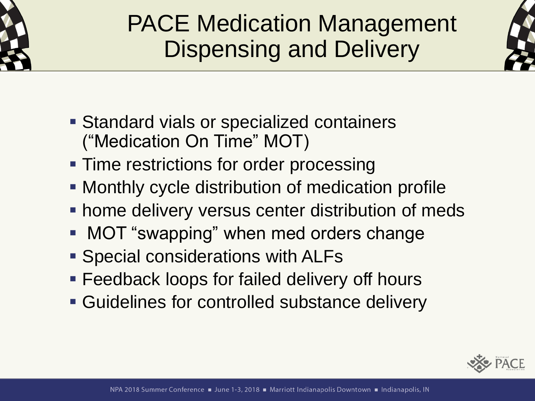

# PACE Medication Management Dispensing and Delivery



- Standard vials or specialized containers ("Medication On Time" MOT)
- **Time restrictions for order processing**
- **Monthly cycle distribution of medication profile**
- **home delivery versus center distribution of meds**
- MOT "swapping" when med orders change
- Special considerations with ALFs
- **Example 2** Feedback loops for failed delivery off hours
- **EXECUTE: Guidelines for controlled substance delivery**

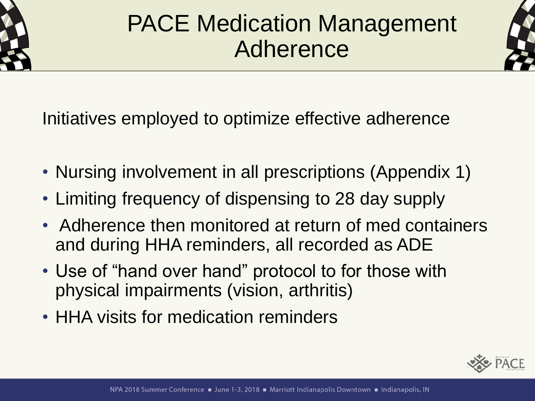

### PACE Medication Management Adherence



Initiatives employed to optimize effective adherence

- Nursing involvement in all prescriptions (Appendix 1)
- Limiting frequency of dispensing to 28 day supply
- Adherence then monitored at return of med containers and during HHA reminders, all recorded as ADE
- Use of "hand over hand" protocol to for those with physical impairments (vision, arthritis)
- HHA visits for medication reminders

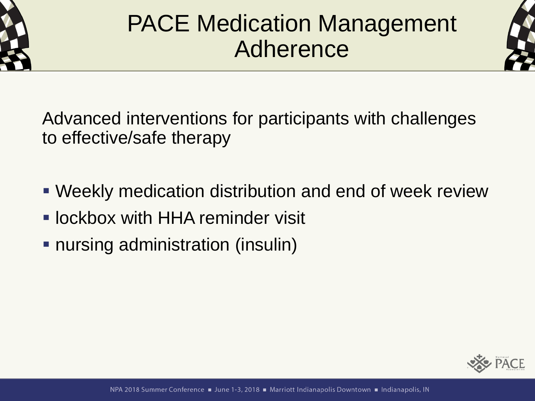

## PACE Medication Management Adherence



Advanced interventions for participants with challenges to effective/safe therapy

- **Weekly medication distribution and end of week review**
- **. lockbox with HHA reminder visit**
- **nursing administration (insulin)**

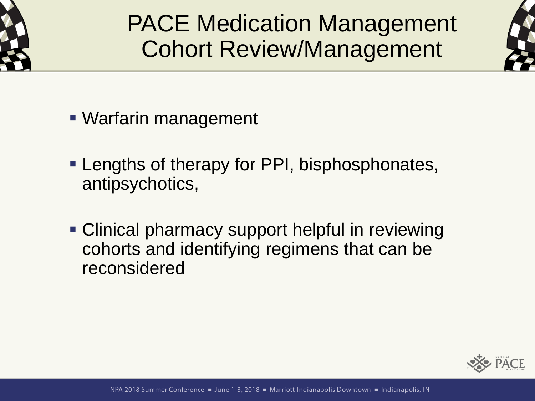

#### PACE Medication Management Cohort Review/Management



- Warfarin management
- **Lengths of therapy for PPI, bisphosphonates,** antipsychotics,
- **Clinical pharmacy support helpful in reviewing** cohorts and identifying regimens that can be reconsidered

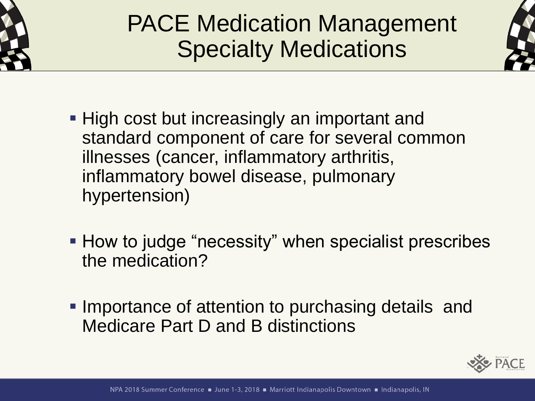

# PACE Medication Management Specialty Medications



- High cost but increasingly an important and standard component of care for several common illnesses (cancer, inflammatory arthritis, inflammatory bowel disease, pulmonary hypertension)
- How to judge "necessity" when specialist prescribes the medication?
- **. Importance of attention to purchasing details and** Medicare Part D and B distinctions

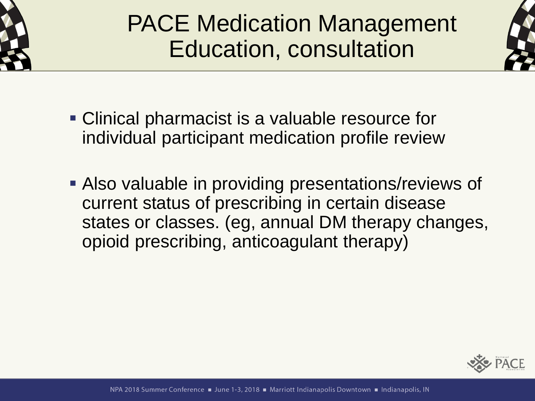

# PACE Medication Management Education, consultation



- **Clinical pharmacist is a valuable resource for** individual participant medication profile review
- **EXALSO valuable in providing presentations/reviews of** current status of prescribing in certain disease states or classes. (eg, annual DM therapy changes, opioid prescribing, anticoagulant therapy)

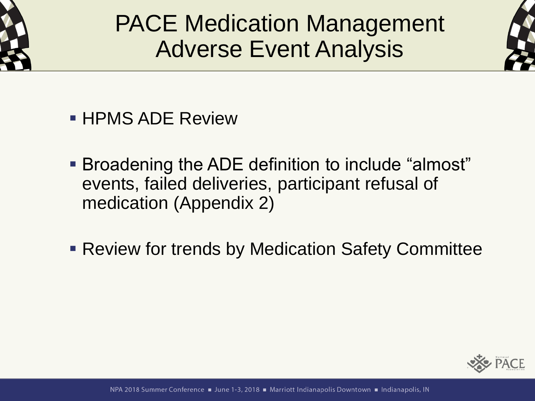

PACE Medication Management Adverse Event Analysis



- $\blacksquare$  HPMS ADE Review
- **Broadening the ADE definition to include "almost"** events, failed deliveries, participant refusal of medication (Appendix 2)
- **Review for trends by Medication Safety Committee**

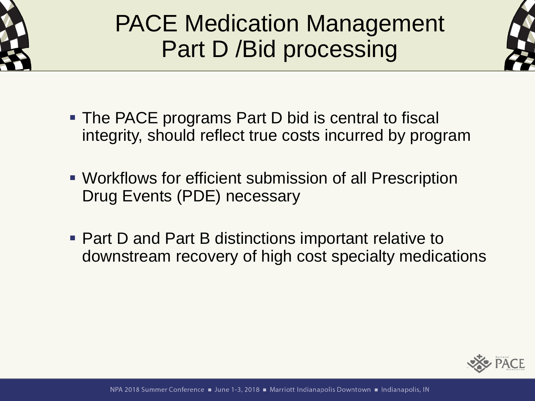

# PACE Medication Management Part D /Bid processing



- **The PACE programs Part D bid is central to fiscal** integrity, should reflect true costs incurred by program
- **Workflows for efficient submission of all Prescription** Drug Events (PDE) necessary
- Part D and Part B distinctions important relative to downstream recovery of high cost specialty medications